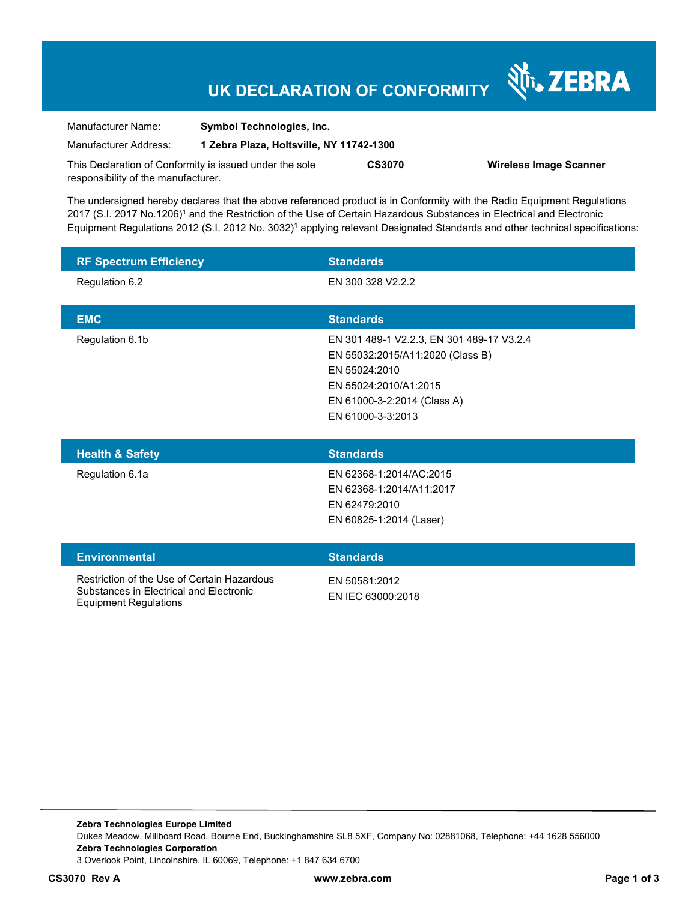# **UK DECLARATION OF CONFORMITY**

Nr. ZEBRA

| Manufacturer Name:                                      | <b>Symbol Technologies, Inc.</b>         |               |                               |
|---------------------------------------------------------|------------------------------------------|---------------|-------------------------------|
| Manufacturer Address:                                   | 1 Zebra Plaza, Holtsville, NY 11742-1300 |               |                               |
| This Declaration of Conformity is issued under the sole |                                          | <b>CS3070</b> | <b>Wireless Image Scanner</b> |
| responsibility of the manufacturer.                     |                                          |               |                               |

The undersigned hereby declares that the above referenced product is in Conformity with the Radio Equipment Regulations 2017 (S.I. 2017 No.1206)<sup>1</sup> and the Restriction of the Use of Certain Hazardous Substances in Electrical and Electronic Equipment Regulations 2012 (S.I. 2012 No. 3032)<sup>1</sup> applying relevant Designated Standards and other technical specifications:

| <b>RF Spectrum Efficiency</b> | <b>Standards</b>                                                                                                                                                            |
|-------------------------------|-----------------------------------------------------------------------------------------------------------------------------------------------------------------------------|
| Regulation 6.2                | EN 300 328 V2.2.2                                                                                                                                                           |
| <b>EMC</b>                    | <b>Standards</b>                                                                                                                                                            |
| Regulation 6.1b               | EN 301 489-1 V2.2.3, EN 301 489-17 V3.2.4<br>EN 55032:2015/A11:2020 (Class B)<br>EN 55024:2010<br>EN 55024:2010/A1:2015<br>EN 61000-3-2:2014 (Class A)<br>EN 61000-3-3:2013 |
| <b>Health &amp; Safety</b>    | <b>Standards</b>                                                                                                                                                            |
| Regulation 6.1a               | EN 62368-1:2014/AC:2015<br>EN 62368-1:2014/A11:2017                                                                                                                         |

| <b>Environmental</b>                                                                                            | <b>Standards</b>                   |
|-----------------------------------------------------------------------------------------------------------------|------------------------------------|
| Restriction of the Use of Certain Hazardous<br>Substances in Electrical and Electronic<br>Equipment Regulations | EN 50581:2012<br>EN IEC 63000:2018 |

EN 62479:2010

EN 60825-1:2014 (Laser)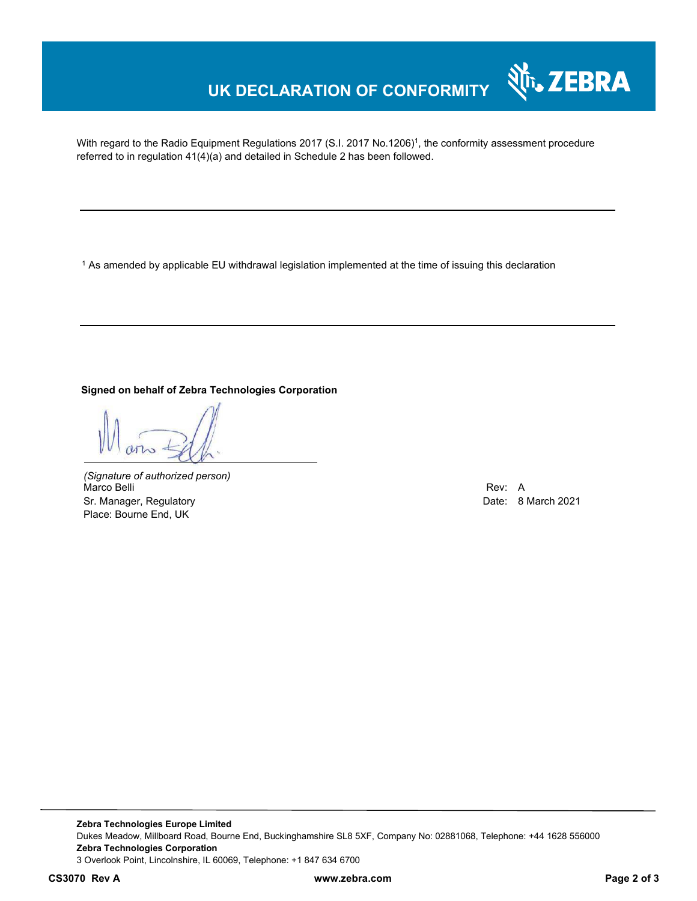# **UK DECLARATION OF CONFORMITY**

With regard to the Radio Equipment Regulations 2017 (S.I. 2017 No.1206)<sup>1</sup>, the conformity assessment procedure referred to in regulation 41(4)(a) and detailed in Schedule 2 has been followed.

 $^{\rm 1}$  As amended by applicable EU withdrawal legislation implemented at the time of issuing this declaration

#### **Signed on behalf of Zebra Technologies Corporation**

*(Signature of authorized person)* Marco Belli Rev: A Sr. Manager, Regulatory **Date: 8 March 2021 Date: 8 March 2021** Place: Bourne End, UK

Nr. ZEBRA

**Zebra Technologies Europe Limited**  Dukes Meadow, Millboard Road, Bourne End, Buckinghamshire SL8 5XF, Company No: 02881068, Telephone: +44 1628 556000 **Zebra Technologies Corporation**  3 Overlook Point, Lincolnshire, IL 60069, Telephone: +1 847 634 6700